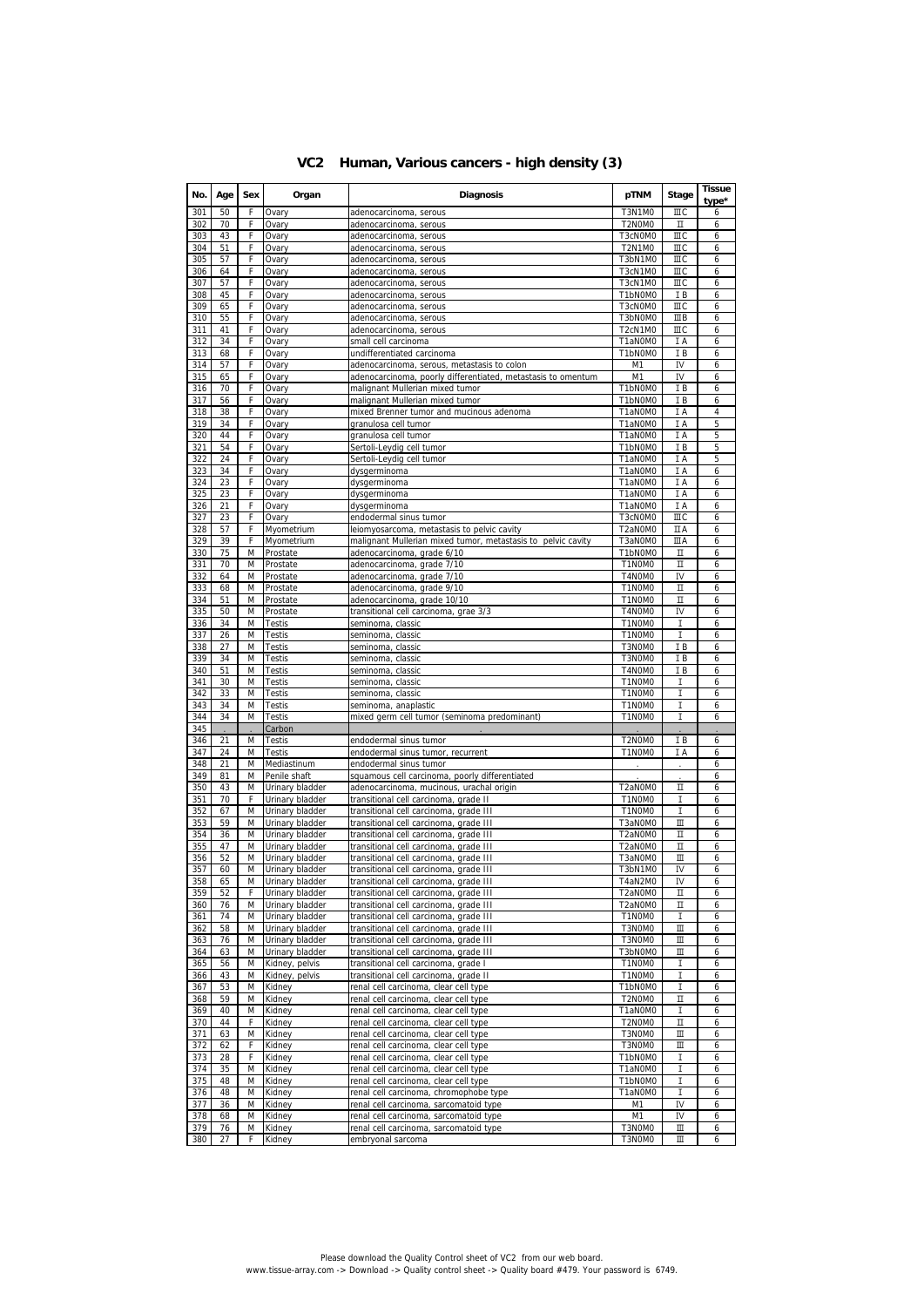|  |  | VC2 Human, Various cancers - high density (3) |  |  |  |  |
|--|--|-----------------------------------------------|--|--|--|--|
|--|--|-----------------------------------------------|--|--|--|--|

| No.        | Age      | Sex    | Organ                              | <b>Diagnosis</b>                                                                           | pTNM                                                     | Stage            | Tissue<br>type* |
|------------|----------|--------|------------------------------------|--------------------------------------------------------------------------------------------|----------------------------------------------------------|------------------|-----------------|
| 301        | 50       | F      | Ovary                              | adenocarcinoma, serous                                                                     | <b>T3N1M0</b>                                            | ШC               | 6               |
| 302        | 70       | F      | Ovary                              | adenocarcinoma, serous                                                                     | T2N0M0                                                   | П                | 6               |
| 303        | 43       | F      | Ovary                              | adenocarcinoma, serous                                                                     | T3cN0M0                                                  | ШC               | 6               |
| 304<br>305 | 51<br>57 | F<br>F | Ovary<br>Ovary                     | adenocarcinoma, serous<br>adenocarcinoma, serous                                           | <b>T2N1M0</b><br>T3bN1M0                                 | ШC<br>ШC         | 6<br>6          |
| 306        | 64       | F      | Ovary                              | adenocarcinoma, serous                                                                     | T3cN1M0                                                  | ШC               | 6               |
| 307        | 57       | F      | Ovary                              | adenocarcinoma, serous                                                                     | T3cN1M0                                                  | ШC               | 6               |
| 308        | 45       | F      | Ovary                              | adenocarcinoma, serous                                                                     | T1bN0M0                                                  | ΙB               | 6               |
| 309        | 65       | F      | Ovary                              | adenocarcinoma, serous                                                                     | T3cN0M0                                                  | ШC               | 6               |
| 310        | 55       | F<br>F | Ovary                              | adenocarcinoma, serous                                                                     | T3bN0M0                                                  | ШB<br>ШC         | 6               |
| 311<br>312 | 41<br>34 | F      | Ovary<br>Ovary                     | adenocarcinoma, serous<br>small cell carcinoma                                             | T <sub>2</sub> cN <sub>1</sub> M <sub>0</sub><br>T1aN0M0 | ΙA               | 6<br>6          |
| 313        | 68       | F      | Ovary                              | undifferentiated carcinoma                                                                 | T1bN0M0                                                  | IB               | 6               |
| 314        | 57       | F      | Ovary                              | adenocarcinoma, serous, metastasis to colon                                                | M1                                                       | IV               | 6               |
| 315        | 65       | F      | Ovary                              | adenocarcinoma, poorly differentiated, metastasis to omentum                               | M1                                                       | IV               | 6               |
| 316        | 70       | F      | Ovary                              | malignant Mullerian mixed tumor                                                            | T1bN0M0                                                  | ΙB               | 6               |
| 317        | 56       | F      | Ovary                              | malignant Mullerian mixed tumor                                                            | T1bN0M0                                                  | IB               | 6               |
| 318<br>319 | 38<br>34 | F<br>F | Ovary<br>Ovary                     | mixed Brenner tumor and mucinous adenoma<br>granulosa cell tumor                           | T1aN0M0<br>T1aN0M0                                       | I A<br>I A       | 4<br>5          |
| 320        | 44       | F      | Ovary                              | granulosa cell tumor                                                                       | T1aN0M0                                                  | I A              | 5               |
| 321        | 54       | F      | Ovary                              | Sertoli-Leydig cell tumor                                                                  | T1bN0M0                                                  | ΙB               | 5               |
| 322        | 24       | F      | Ovary                              | Sertoli-Leydig cell tumor                                                                  | T1aN0M0                                                  | I A              | 5               |
| 323        | 34       | F      | Ovary                              | dysgerminoma                                                                               | T1aN0M0                                                  | I A              | 6               |
| 324        | 23       | F      | Ovary                              | dysgerminoma                                                                               | T1aN0M0                                                  | I A              | 6               |
| 325        | 23       | F      | Ovary                              | dysgerminoma                                                                               | T1aN0M0                                                  | I A              | 6               |
| 326<br>327 | 21<br>23 | F<br>F | Ovary<br>Ovary                     | dysgerminoma<br>endodermal sinus tumor                                                     | T1aN0M0<br>T3cN0M0                                       | ΙA<br>ШC         | 6<br>6          |
| 328        | 57       | F      | Myometrium                         | leiomyosarcoma, metastasis to pelvic cavity                                                | T2aN0M0                                                  | ΠA               | 6               |
| 329        | 39       | F      | Myometrium                         | malignant Mullerian mixed tumor, metastasis to pelvic cavity                               | T3aN0M0                                                  | ШA               | 6               |
| 330        | 75       | M      | Prostate                           | adenocarcinoma, grade 6/10                                                                 | T1bN0M0                                                  | П                | 6               |
| 331        | 70       | M      | Prostate                           | adenocarcinoma, grade 7/10                                                                 | T1N0M0                                                   | п                | 6               |
| 332        | 64       | M      | Prostate                           | adenocarcinoma, grade 7/10                                                                 | T4N0M0                                                   | IV               | 6               |
| 333        | 68       | M      | Prostate                           | adenocarcinoma, grade 9/10                                                                 | T1N0M0<br>T1N0M0                                         | П                | 6               |
| 334<br>335 | 51<br>50 | M<br>M | Prostate<br>Prostate               | adenocarcinoma, grade 10/10<br>transitional cell carcinoma, grae 3/3                       | T4N0M0                                                   | П<br>IV          | 6<br>6          |
| 336        | 34       | M      | <b>Testis</b>                      | seminoma, classic                                                                          | T1N0M0                                                   | I                | 6               |
| 337        | 26       | M      | Testis                             | seminoma, classic                                                                          | T1N0M0                                                   | I                | 6               |
| 338        | 27       | M      | Testis                             | seminoma, classic                                                                          | T3N0M0                                                   | IB               | 6               |
| 339        | 34       | M      | Testis                             | seminoma, classic                                                                          | T3N0M0                                                   | ΙB               | 6               |
| 340        | 51       | M      | <b>Testis</b>                      | seminoma, classic                                                                          | T4N0M0                                                   | IB               | 6               |
| 341<br>342 | 30       | M      | <b>Testis</b>                      | seminoma, classic                                                                          | T1N0M0<br>T1N0M0                                         | I<br>I           | 6<br>6          |
| 343        | 33<br>34 | M<br>M | <b>Testis</b><br><b>Testis</b>     | seminoma, classic<br>seminoma, anaplastic                                                  | T1N0M0                                                   | I                | 6               |
| 344        | 34       | M      | <b>Testis</b>                      | mixed germ cell tumor (seminoma predominant)                                               | T1N0M0                                                   | I                | 6               |
| 345        |          |        | Carbon                             |                                                                                            |                                                          |                  |                 |
| 346        | 21       | M      | <b>Testis</b>                      | endodermal sinus tumor                                                                     | T2N0M0                                                   | ΙB               | 6               |
| 347        | 24       | M      | <b>Testis</b>                      | endodermal sinus tumor, recurrent                                                          | T1N0M0                                                   | ΙA               | 6               |
| 348<br>349 | 21       | M      | Mediastinum                        | endodermal sinus tumor                                                                     |                                                          |                  | 6               |
| 350        | 81<br>43 | M<br>M | Penile shaft<br>Urinary bladder    | squamous cell carcinoma, poorly differentiated<br>adenocarcinoma, mucinous, urachal origin | T2aN0M0                                                  | П                | 6<br>6          |
| 351        | 70       | F      | Urinary bladder                    | transitional cell carcinoma, grade II                                                      | T1N0M0                                                   | I                | 6               |
| 352        | 67       | M      | Urinary bladder                    | transitional cell carcinoma, grade III                                                     | T1N0M0                                                   | I                | 6               |
| 353        | 59       | M      | Urinary bladder                    | transitional cell carcinoma, grade III                                                     | T3aN0M0                                                  | Ш                | 6               |
| 354        | 36       | M      | Urinary bladder                    | transitional cell carcinoma, grade III                                                     | T2aN0M0                                                  | п                | 6               |
| 355        | 47       | M      | Urinary bladder                    | transitional cell carcinoma, grade III                                                     | T2aN0M0                                                  | П                | 6               |
| 356<br>357 | 52<br>60 | M<br>M | Urinary bladder<br>Urinary bladder | transitional cell carcinoma, grade III<br>transitional cell carcinoma, grade III           | T3aN0M0<br>T3bN1M0                                       | Ш<br>IV          | 6<br>6          |
| 358        | 65       | M      | Urinary bladder                    | transitional cell carcinoma, grade III                                                     | 14aN2MO                                                  | 1V               | 6               |
| 359        | 52       | F      | Urinary bladder                    | transitional cell carcinoma, grade III                                                     | T2aN0M0                                                  | $\mathbbm{I}$    | 6               |
| 360        | 76       | M      | Urinary bladder                    | transitional cell carcinoma, grade III                                                     | T2aN0M0                                                  | П                | 6               |
| 361        | 74       | M      | Urinary bladder                    | transitional cell carcinoma, grade III                                                     | T1N0M0                                                   | I                | 6               |
| 362        | 58       | M      | Urinary bladder                    | transitional cell carcinoma, grade III                                                     | T3N0M0                                                   | Ш                | 6               |
| 363        | 76       | M      | Urinary bladder                    | transitional cell carcinoma, grade III<br>transitional cell carcinoma, grade III           | T3N0M0                                                   | Ш                | 6               |
| 364<br>365 | 63<br>56 | M<br>M | Urinary bladder<br>Kidney, pelvis  | transitional cell carcinoma, grade I                                                       | T3bN0M0<br>T1N0M0                                        | Ш<br>I           | 6<br>6          |
| 366        | 43       | M      | Kidney, pelvis                     | transitional cell carcinoma, grade II                                                      | T1N0M0                                                   | I                | 6               |
| 367        | 53       | M      | Kidney                             | renal cell carcinoma, clear cell type                                                      | T1bN0M0                                                  | 1                | 6               |
| 368        | 59       | M      | Kidney                             | renal cell carcinoma, clear cell type                                                      | T2N0M0                                                   | П                | 6               |
| 369        | 40       | M      | Kidney                             | renal cell carcinoma, clear cell type                                                      | T1aN0M0                                                  | I                | 6               |
| 370        | 44       | F      | Kidney                             | renal cell carcinoma, clear cell type                                                      | T2N0M0                                                   | П                | 6               |
| 371<br>372 | 63<br>62 | M<br>F | Kidney<br>Kidney                   | renal cell carcinoma, clear cell type<br>renal cell carcinoma, clear cell type             | T3N0M0<br>T3N0M0                                         | $\rm{I\!I}$<br>Ш | 6<br>6          |
| 373        | 28       | F      | Kidney                             | renal cell carcinoma, clear cell type                                                      | T1bN0M0                                                  | I                | 6               |
| 374        | 35       | M      | Kidney                             | renal cell carcinoma, clear cell type                                                      | T1aN0M0                                                  | I                | 6               |
| 375        | 48       | M      | Kidney                             | renal cell carcinoma, clear cell type                                                      | T1bN0M0                                                  | I                | 6               |
| 376        | 48       | M      | Kidney                             | renal cell carcinoma, chromophobe type                                                     | T1aN0M0                                                  | I                | 6               |
| 377        | 36       | M      | Kidney                             | renal cell carcinoma, sarcomatoid type                                                     | M1                                                       | IV               | 6               |
| 378        | 68       | M      | Kidney                             | renal cell carcinoma, sarcomatoid type                                                     | M1                                                       | IV               | 6               |
| 379<br>380 | 76<br>27 | M<br>F | Kidney<br>Kidney                   | renal cell carcinoma, sarcomatoid type<br>embryonal sarcoma                                | T3N0M0<br>T3N0M0                                         | Ш<br>Ш           | 6<br>6          |